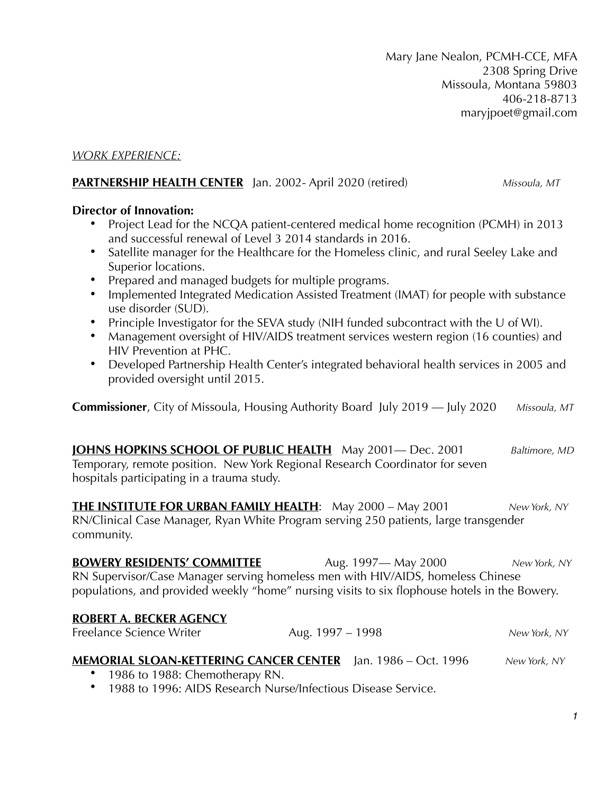#### *WORK EXPERIENCE:*

#### **PARTNERSHIP HEALTH CENTER** Jan. 2002- April 2020 (retired) *Missoula, MT*

#### **Director of Innovation:**

- Project Lead for the NCQA patient-centered medical home recognition (PCMH) in 2013 and successful renewal of Level 3 2014 standards in 2016.
- Satellite manager for the Healthcare for the Homeless clinic, and rural Seeley Lake and Superior locations.
- Prepared and managed budgets for multiple programs.
- Implemented Integrated Medication Assisted Treatment (IMAT) for people with substance use disorder (SUD).
- Principle Investigator for the SEVA study (NIH funded subcontract with the U of WI).
- Management oversight of HIV/AIDS treatment services western region (16 counties) and HIV Prevention at PHC.
- Developed Partnership Health Center's integrated behavioral health services in 2005 and provided oversight until 2015.

**Commissioner**, City of Missoula, Housing Authority Board July 2019 — July 2020 *Missoula, MT*

**JOHNS HOPKINS SCHOOL OF PUBLIC HEALTH** May 2001— Dec. 2001 *Baltimore, MD* Temporary, remote position. New York Regional Research Coordinator for seven hospitals participating in a trauma study.

**THE INSTITUTE FOR URBAN FAMILY HEALTH**: May 2000 – May 2001 *New York, NY* RN/Clinical Case Manager, Ryan White Program serving 250 patients, large transgender community.

**BOWERY RESIDENTS' COMMITTEE** Aug. 1997— May 2000 *New York, NY* RN Supervisor/Case Manager serving homeless men with HIV/AIDS, homeless Chinese populations, and provided weekly "home" nursing visits to six flophouse hotels in the Bowery.

#### **ROBERT A. BECKER AGENCY**

Freelance Science Writer **Aug. 1997 – 1998** *New York, NY* 

# **MEMORIAL SLOAN-KETTERING CANCER CENTER** Jan. 1986 – Oct. 1996 *New York, NY*

- 1986 to 1988: Chemotherapy RN.
- 1988 to 1996: AIDS Research Nurse/Infectious Disease Service.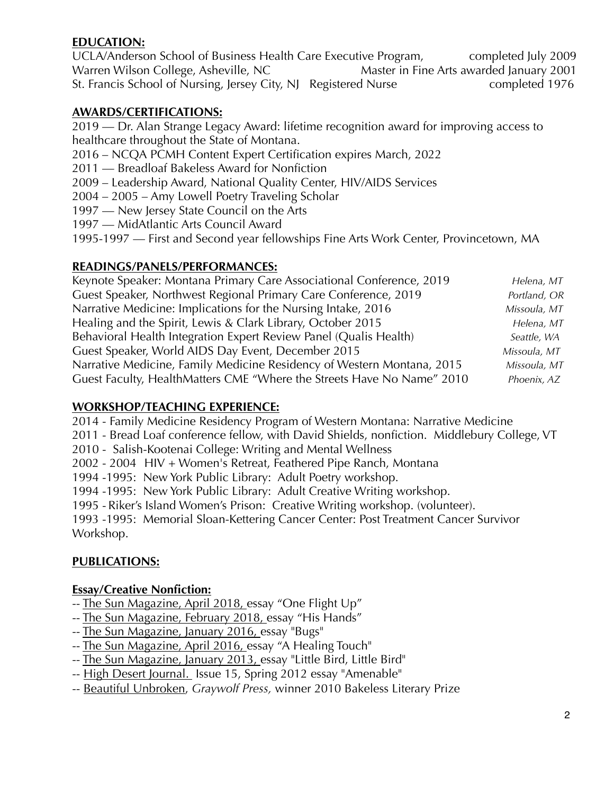## **EDUCATION:**

UCLA/Anderson School of Business Health Care Executive Program, completed July 2009 Warren Wilson College, Asheville, NC Master in Fine Arts awarded January 2001 St. Francis School of Nursing, Jersey City, NJ Registered Nurse completed 1976

## **AWARDS/CERTIFICATIONS:**

2019 — Dr. Alan Strange Legacy Award: lifetime recognition award for improving access to healthcare throughout the State of Montana.

- 2016 NCQA PCMH Content Expert Certification expires March, 2022
- 2011 Breadloaf Bakeless Award for Nonfiction
- 2009 Leadership Award, National Quality Center, HIV/AIDS Services
- 2004 2005 Amy Lowell Poetry Traveling Scholar
- 1997 New Jersey State Council on the Arts
- 1997 MidAtlantic Arts Council Award

1995-1997 — First and Second year fellowships Fine Arts Work Center, Provincetown, MA

### **READINGS/PANELS/PERFORMANCES:**

| Keynote Speaker: Montana Primary Care Associational Conference, 2019   | Helena, MT   |
|------------------------------------------------------------------------|--------------|
| Guest Speaker, Northwest Regional Primary Care Conference, 2019        | Portland, OR |
| Narrative Medicine: Implications for the Nursing Intake, 2016          | Missoula, MT |
| Healing and the Spirit, Lewis & Clark Library, October 2015            | Helena, MT   |
| Behavioral Health Integration Expert Review Panel (Qualis Health)      | Seattle, WA  |
| Guest Speaker, World AIDS Day Event, December 2015                     | Missoula, MT |
| Narrative Medicine, Family Medicine Residency of Western Montana, 2015 | Missoula, MT |
| Guest Faculty, HealthMatters CME "Where the Streets Have No Name" 2010 | Phoenix, AZ  |

### **WORKSHOP/TEACHING EXPERIENCE:**

2014 - Family Medicine Residency Program of Western Montana: Narrative Medicine

- 2011 Bread Loaf conference fellow, with David Shields, nonfiction. Middlebury College, VT
- 2010 Salish-Kootenai College: Writing and Mental Wellness
- 2002 2004 HIV + Women's Retreat, Feathered Pipe Ranch, Montana

1994 -1995: New York Public Library: Adult Poetry workshop.

1994 -1995: New York Public Library: Adult Creative Writing workshop.

1995 - Riker's Island Women's Prison: Creative Writing workshop. (volunteer).

1993 -1995: Memorial Sloan-Kettering Cancer Center: Post Treatment Cancer Survivor Workshop.

### **PUBLICATIONS:**

### **Essay/Creative Nonfiction:**

- -- The Sun Magazine, April 2018, essay "One Flight Up"
- -- The Sun Magazine, February 2018, essay "His Hands"
- -- The Sun Magazine, January 2016, essay "Bugs"
- -- The Sun Magazine, April 2016, essay "A Healing Touch"
- -- The Sun Magazine, January 2013, essay "Little Bird, Little Bird"
- -- High Desert Journal. Issue 15, Spring 2012 essay "Amenable"
- -- Beautiful Unbroken, *Graywolf Press,* winner 2010 Bakeless Literary Prize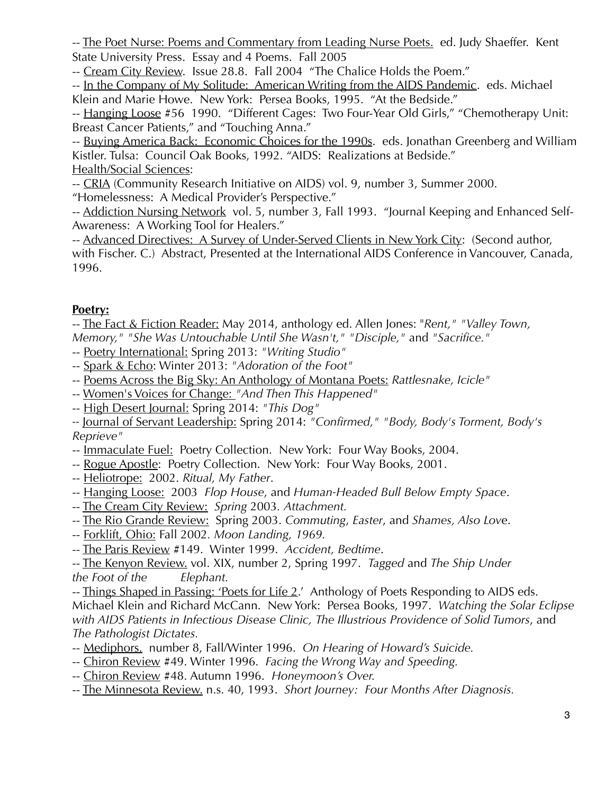-- The Poet Nurse: Poems and Commentary from Leading Nurse Poets. ed. Judy Shaeffer. Kent State University Press. Essay and 4 Poems. Fall 2005

-- Cream City Review. Issue 28.8. Fall 2004 "The Chalice Holds the Poem."

-- In the Company of My Solitude: American Writing from the AIDS Pandemic. eds. Michael Klein and Marie Howe. New York: Persea Books, 1995. "At the Bedside."

-- Hanging Loose #56 1990. "Different Cages: Two Four-Year Old Girls," "Chemotherapy Unit: Breast Cancer Patients," and "Touching Anna."

-- Buying America Back: Economic Choices for the 1990s. eds. Jonathan Greenberg and William Kistler. Tulsa: Council Oak Books, 1992. "AIDS: Realizations at Bedside." Health/Social Sciences:

-- CRIA (Community Research Initiative on AIDS) vol. 9, number 3, Summer 2000.

"Homelessness: A Medical Provider's Perspective."

-- Addiction Nursing Network vol. 5, number 3, Fall 1993. "Journal Keeping and Enhanced Self-Awareness: A Working Tool for Healers."

-- Advanced Directives: A Survey of Under-Served Clients in New York City: (Second author, with Fischer. C.) Abstract, Presented at the International AIDS Conference in Vancouver, Canada, 1996.

# **Poetry:**

-- The Fact & Fiction Reader: May 2014, anthology ed. Allen Jones: "*Rent," "Valley Town, Memory," "She Was Untouchable Until She Wasn't," "Disciple,"* and *"Sacrifice."*

- -- Poetry International: Spring 2013: *"Writing Studio"*
- -- Spark & Echo: Winter 2013: *"Adoration of the Foot"*
- -- Poems Across the Big Sky: An Anthology of Montana Poets: *Rattlesnake, Icicle"*
- -- Women's Voices for Change: *"And Then This Happened"*
- -- High Desert Journal: Spring 2014: *"This Dog"*

*--* Journal of Servant Leadership: Spring 2014: *"Confirmed," "Body, Body's Torment, Body's Reprieve"*

- -- Immaculate Fuel: Poetry Collection. New York: Four Way Books, 2004.
- -- Rogue Apostle: Poetry Collection. New York: Four Way Books, 2001.
- -- Heliotrope:2002. *Ritual, My Father*.
- -- Hanging Loose:2003 *Flop House*, and *Human-Headed Bull Below Empty Space*.
- -- The Cream City Review: *Spring* 2003*. Attachment.*
- -- The Rio Grande Review:Spring 2003. *Commuting*, *Easter*, and *Shames, Also Lov*e.
- -- Forklift, Ohio: Fall 2002*. Moon Landing, 1969.*
- -- The Paris Review #149. Winter 1999. *Accident, Bedtime*.

-- The Kenyon Review. vol. XIX, number 2, Spring 1997. *Tagged* and *The Ship Under the Foot of the Elephant.* 

-- Things Shaped in Passing: 'Poets for Life 2.' Anthology of Poets Responding to AIDS eds. Michael Klein and Richard McCann. New York: Persea Books, 1997. *Watching the Solar Eclipse with AIDS Patients in Infectious Disease Clinic, The Illustrious Providence of Solid Tumors*, and *The Pathologist Dictates.*

- -- Mediphors. number 8, Fall/Winter 1996. *On Hearing of Howard's Suicide.*
- -- Chiron Review #49. Winter 1996. *Facing the Wrong Way and Speeding.*
- -- Chiron Review #48. Autumn 1996. *Honeymoon's Over.*
- -- The Minnesota Review. n.s. 40, 1993. *Short Journey: Four Months After Diagnosis.*